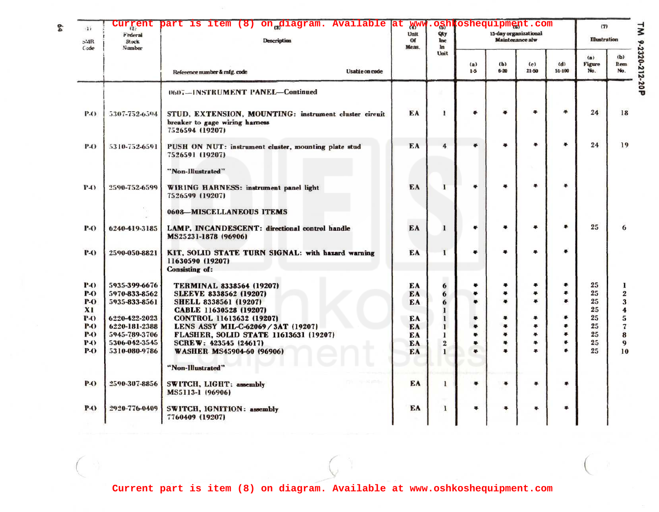| 122<br>$5-1R$<br>Code | <b>Federal</b><br>Stock<br>Number | Curgent part is item (8) on diagram. Available at www.oghkoshequipment.com<br><b>Description</b><br><b>Usable on code</b><br>Reference number & mfg. code | Unit<br>Of<br>Meas. | Qty<br>Inc<br>In<br>Unit | 15-day organizational<br><b>Maintenance alw</b> |                      |                  |                   | (7)<br><b>Illustration</b> |                    | $\overline{\mathbf{x}}$ |
|-----------------------|-----------------------------------|-----------------------------------------------------------------------------------------------------------------------------------------------------------|---------------------|--------------------------|-------------------------------------------------|----------------------|------------------|-------------------|----------------------------|--------------------|-------------------------|
|                       |                                   |                                                                                                                                                           |                     |                          | (a)<br>$1-5$                                    | (b)<br>$6 - 20$      | (c)<br>$21 - 50$ | (d)<br>$51 - 100$ | (a)<br>Figure<br>No.       | (b)<br>Item<br>No. | 9-2320-212-20P          |
|                       |                                   | 0607-INSTRUMENT PANEL-Continued                                                                                                                           |                     |                          |                                                 |                      |                  |                   |                            |                    |                         |
| P-O                   | 5307-752-6594                     | STUD, EXTENSION, MOUNTING: instrument cluster circuit<br>breaker to gage wiring harness<br>7526594 (19207)                                                | EA                  | ı                        | 岺                                               | s.                   | ¥                | 岑                 | 24                         | 18                 |                         |
| <b>P-O</b>            | 5310-752-6591                     | PUSH ON NUT: instrument cluster, mounting plate stud<br>7526591 (19207)                                                                                   | EA                  | $\overline{4}$           | $\bullet$                                       | ¥                    | ¥                | ٠                 | 24                         | 19                 |                         |
|                       |                                   | "Non-Illustrated"                                                                                                                                         |                     |                          |                                                 |                      |                  |                   |                            |                    |                         |
| P(A)                  | 2590-752-6599                     | WIRING HARNESS: instrument panel light<br>7526599 (19207)                                                                                                 | EA                  | $\mathbf{I}$             | 手                                               | ÷                    | ¥                | ¥                 |                            |                    |                         |
|                       |                                   | 0608-MISCELLANEOUS ITEMS                                                                                                                                  |                     |                          |                                                 |                      |                  |                   |                            |                    |                         |
| P-0                   | 6240-419-3185                     | LAMP, INCANDESCENT: directional control handle<br>MS25231-1878 (96906)                                                                                    | EA                  | $\mathbf{I}$             | ۰                                               | ٠                    | ÷                | *                 | 25                         | 6                  |                         |
| <b>P-O</b>            | 2590-050-8821                     | KIT, SOLID STATE TURN SIGNAL: with hazard warning<br>11630590 (19207)<br><b>Consisting of:</b>                                                            | EA                  | $\mathbf{I}$             | ٠                                               | $\ddot{\bullet}$     | ٠                | ÷                 |                            |                    |                         |
| <b>P-0</b>            | 5935-399-6676                     | <b>TERMINAL 8338564 (19207)</b>                                                                                                                           | EA                  | 6                        | ¥                                               | ۰                    | ٠                |                   | 25                         |                    |                         |
| P-O                   | 5970-833-8562                     | <b>SLEEVE 8338562 (19207)</b>                                                                                                                             | EA                  | 6                        | ٠                                               | ÷                    | ÷                | 4                 | 25                         | $\boldsymbol{2}$   |                         |
| <b>P-O</b>            | 5935-833-8561                     | <b>SHELL 8338561 (19207)</b>                                                                                                                              | EA                  | 6                        | $\bullet$                                       | $\bullet$            | ٠                | ÷                 | 25                         | 3                  |                         |
| $x_1$                 |                                   | CABLE 11630528 (19207)                                                                                                                                    |                     | 1                        |                                                 |                      |                  |                   | 25                         | 4                  |                         |
| <b>P</b> -0           | 6220-422-2023                     | CONTROL 11613632 (19207)                                                                                                                                  | ЕA                  | $\mathbf{I}$             | ٠                                               | ÷                    | ٠                |                   | 25                         | 5                  |                         |
| <b>P-O</b>            | 6220-181-2388                     | LENS ASSY MIL-C-62069 / 3AT (19207)                                                                                                                       | EA                  | 1                        | $\ddot{\bullet}$                                | $\ddot{\bullet}$     | ÷                | ÷                 | 25                         | 7                  |                         |
| <b>P-O</b>            | 5945-789-3706                     | FLASHER, SOLID STATE 11613631 (19207)                                                                                                                     | EA                  | 1                        | ÷                                               | $\clubsuit$          | ٠                | $\clubsuit$       | 25                         | 8                  |                         |
| P4)                   | 5306-042-3545                     | SCREW: 423545 (24617)                                                                                                                                     | ЕA                  | $\bf 2$                  | ÷                                               | ÷                    | ٠<br>÷           | *<br>s.           | 25                         | 9                  |                         |
| <b>P-O</b>            | 5310-080-9786                     | <b>WASHER MS45904-60 (96906)</b>                                                                                                                          | EA                  | 1                        | 串                                               | 半                    |                  |                   | 25                         | 10                 |                         |
|                       |                                   | "Non-Illustrated"                                                                                                                                         |                     |                          |                                                 |                      |                  |                   |                            |                    |                         |
| <b>P-O</b>            | 2590-307-8856                     | SWITCH, LIGHT: assembly<br>MS5113-1 (96906)                                                                                                               | EA                  | 1                        | 寻                                               | $\ddot{\phantom{1}}$ | 부                | \$                |                            |                    |                         |
| <b>P-O</b>            | 2920-776-0409                     | SWITCH, IGNITION: assembly<br>7760409 (19207)                                                                                                             | EA                  | 1                        | ÷                                               | 峷                    | 墨                | ¥                 |                            |                    |                         |
|                       |                                   |                                                                                                                                                           |                     |                          |                                                 |                      |                  |                   |                            |                    |                         |

e4

**Current part is item (8) on diagram. Available at www.oshkoshequipment.com**

 $\sim$   $\sim$